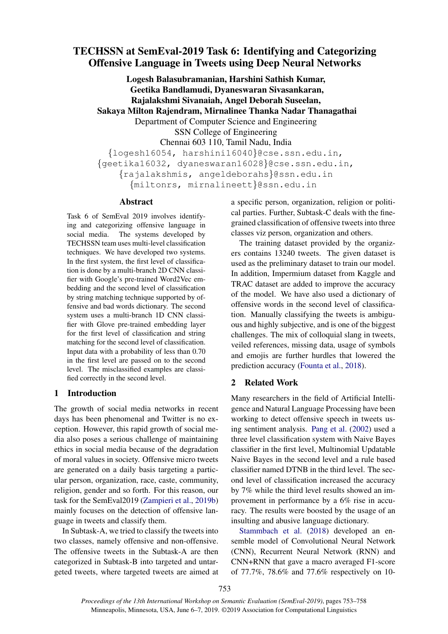# TECHSSN at SemEval-2019 Task 6: Identifying and Categorizing Offensive Language in Tweets using Deep Neural Networks

Logesh Balasubramanian, Harshini Sathish Kumar, Geetika Bandlamudi, Dyaneswaran Sivasankaran, Rajalakshmi Sivanaiah, Angel Deborah Suseelan, Sakaya Milton Rajendram, Mirnalinee Thanka Nadar Thanagathai Department of Computer Science and Engineering SSN College of Engineering Chennai 603 110, Tamil Nadu, India {logesh16054, harshini16040}@cse.ssn.edu.in, {geetika16032, dyaneswaran16028}@cse.ssn.edu.in, {rajalakshmis, angeldeborahs}@ssn.edu.in {miltonrs, mirnalineett}@ssn.edu.in

### Abstract

Task 6 of SemEval 2019 involves identifying and categorizing offensive language in social media. The systems developed by TECHSSN team uses multi-level classification techniques. We have developed two systems. In the first system, the first level of classification is done by a multi-branch 2D CNN classifier with Google's pre-trained Word2Vec embedding and the second level of classification by string matching technique supported by offensive and bad words dictionary. The second system uses a multi-branch 1D CNN classifier with Glove pre-trained embedding layer for the first level of classification and string matching for the second level of classification. Input data with a probability of less than 0.70 in the first level are passed on to the second level. The misclassified examples are classified correctly in the second level.

### 1 Introduction

The growth of social media networks in recent days has been phenomenal and Twitter is no exception. However, this rapid growth of social media also poses a serious challenge of maintaining ethics in social media because of the degradation of moral values in society. Offensive micro tweets are generated on a daily basis targeting a particular person, organization, race, caste, community, religion, gender and so forth. For this reason, our task for the SemEval2019 [\(Zampieri et al.,](#page-5-0) [2019b\)](#page-5-0) mainly focuses on the detection of offensive language in tweets and classify them.

In Subtask-A, we tried to classify the tweets into two classes, namely offensive and non-offensive. The offensive tweets in the Subtask-A are then categorized in Subtask-B into targeted and untargeted tweets, where targeted tweets are aimed at a specific person, organization, religion or political parties. Further, Subtask-C deals with the finegrained classification of offensive tweets into three classes viz person, organization and others.

The training dataset provided by the organizers contains 13240 tweets. The given dataset is used as the preliminary dataset to train our model. In addition, Impermium dataset from Kaggle and TRAC dataset are added to improve the accuracy of the model. We have also used a dictionary of offensive words in the second level of classification. Manually classifying the tweets is ambiguous and highly subjective, and is one of the biggest challenges. The mix of colloquial slang in tweets, veiled references, missing data, usage of symbols and emojis are further hurdles that lowered the prediction accuracy [\(Founta et al.,](#page-4-0) [2018\)](#page-4-0).

### 2 Related Work

Many researchers in the field of Artificial Intelligence and Natural Language Processing have been working to detect offensive speech in tweets using sentiment analysis. [Pang et al.](#page-5-1) [\(2002\)](#page-5-1) used a three level classification system with Naive Bayes classifier in the first level, Multinomial Updatable Naive Bayes in the second level and a rule based classifier named DTNB in the third level. The second level of classification increased the accuracy by 7% while the third level results showed an improvement in performance by a 6% rise in accuracy. The results were boosted by the usage of an insulting and abusive language dictionary.

[Stammbach et al.](#page-5-2) [\(2018\)](#page-5-2) developed an ensemble model of Convolutional Neural Network (CNN), Recurrent Neural Network (RNN) and CNN+RNN that gave a macro averaged F1-score of 77.7%, 78.6% and 77.6% respectively on 10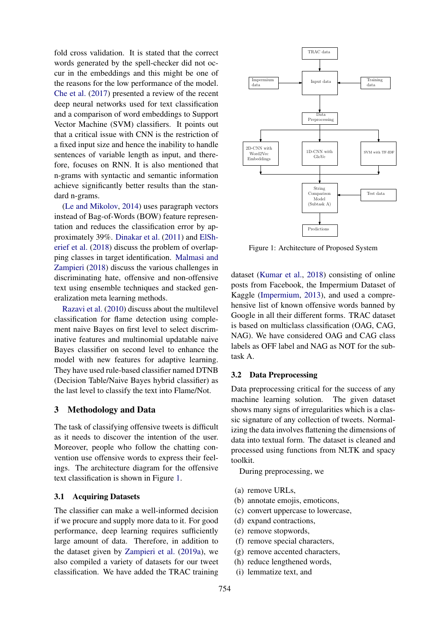fold cross validation. It is stated that the correct words generated by the spell-checker did not occur in the embeddings and this might be one of the reasons for the low performance of the model. [Che et al.](#page-4-1) [\(2017\)](#page-4-1) presented a review of the recent deep neural networks used for text classification and a comparison of word embeddings to Support Vector Machine (SVM) classifiers. It points out that a critical issue with CNN is the restriction of a fixed input size and hence the inability to handle sentences of variable length as input, and therefore, focuses on RNN. It is also mentioned that n-grams with syntactic and semantic information achieve significantly better results than the standard n-grams.

[\(Le and Mikolov,](#page-5-3) [2014\)](#page-5-3) uses paragraph vectors instead of Bag-of-Words (BOW) feature representation and reduces the classification error by approximately 39%. [Dinakar et al.](#page-4-2) [\(2011\)](#page-4-2) and [ElSh](#page-4-3)[erief et al.](#page-4-3) [\(2018\)](#page-4-3) discuss the problem of overlapping classes in target identification. [Malmasi and](#page-5-4) [Zampieri](#page-5-4) [\(2018\)](#page-5-4) discuss the various challenges in discriminating hate, offensive and non-offensive text using ensemble techniques and stacked generalization meta learning methods.

[Razavi et al.](#page-5-5) [\(2010\)](#page-5-5) discuss about the multilevel classification for flame detection using complement naive Bayes on first level to select discriminative features and multinomial updatable naive Bayes classifier on second level to enhance the model with new features for adaptive learning. They have used rule-based classifier named DTNB (Decision Table/Naive Bayes hybrid classifier) as the last level to classify the text into Flame/Not.

### 3 Methodology and Data

The task of classifying offensive tweets is difficult as it needs to discover the intention of the user. Moreover, people who follow the chatting convention use offensive words to express their feelings. The architecture diagram for the offensive text classification is shown in Figure [1.](#page-1-0)

### 3.1 Acquiring Datasets

The classifier can make a well-informed decision if we procure and supply more data to it. For good performance, deep learning requires sufficiently large amount of data. Therefore, in addition to the dataset given by [Zampieri et al.](#page-5-6) [\(2019a\)](#page-5-6), we also compiled a variety of datasets for our tweet classification. We have added the TRAC training

<span id="page-1-0"></span>

Figure 1: Architecture of Proposed System

dataset [\(Kumar et al.,](#page-5-7) [2018\)](#page-5-7) consisting of online posts from Facebook, the Impermium Dataset of Kaggle [\(Impermium,](#page-4-4) [2013\)](#page-4-4), and used a comprehensive list of known offensive words banned by Google in all their different forms. TRAC dataset is based on multiclass classification (OAG, CAG, NAG). We have considered OAG and CAG class labels as OFF label and NAG as NOT for the subtask A.

### 3.2 Data Preprocessing

Data preprocessing critical for the success of any machine learning solution. The given dataset shows many signs of irregularities which is a classic signature of any collection of tweets. Normalizing the data involves flattening the dimensions of data into textual form. The dataset is cleaned and processed using functions from NLTK and spacy toolkit.

During preprocessing, we

- (a) remove URLs,
- (b) annotate emojis, emoticons,
- (c) convert uppercase to lowercase,
- (d) expand contractions,
- <span id="page-1-1"></span>(e) remove stopwords,
- (f) remove special characters,
- (g) remove accented characters,
- (h) reduce lengthened words,
- (i) lemmatize text, and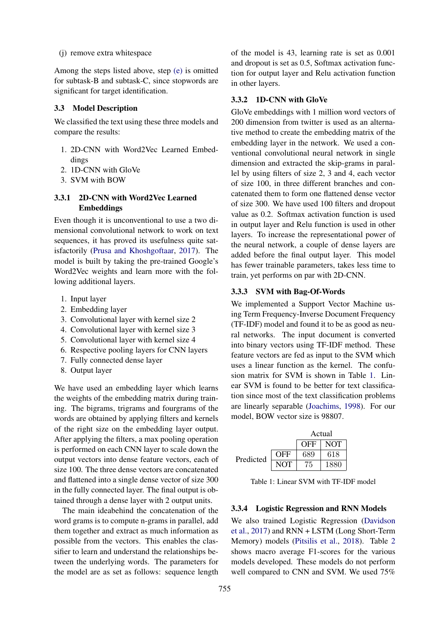### (j) remove extra whitespace

Among the steps listed above, step [\(e\)](#page-1-1) is omitted for subtask-B and subtask-C, since stopwords are significant for target identification.

#### 3.3 Model Description

We classified the text using these three models and compare the results:

- 1. 2D-CNN with Word2Vec Learned Embeddings
- 2. 1D-CNN with GloVe
- 3. SVM with BOW

## 3.3.1 2D-CNN with Word2Vec Learned Embeddings

Even though it is unconventional to use a two dimensional convolutional network to work on text sequences, it has proved its usefulness quite satisfactorily [\(Prusa and Khoshgoftaar,](#page-5-8) [2017\)](#page-5-8). The model is built by taking the pre-trained Google's Word2Vec weights and learn more with the following additional layers.

- 1. Input layer
- 2. Embedding layer
- 3. Convolutional layer with kernel size 2
- 4. Convolutional layer with kernel size 3
- 5. Convolutional layer with kernel size 4
- 6. Respective pooling layers for CNN layers
- 7. Fully connected dense layer
- 8. Output layer

We have used an embedding layer which learns the weights of the embedding matrix during training. The bigrams, trigrams and fourgrams of the words are obtained by applying filters and kernels of the right size on the embedding layer output. After applying the filters, a max pooling operation is performed on each CNN layer to scale down the output vectors into dense feature vectors, each of size 100. The three dense vectors are concatenated and flattened into a single dense vector of size 300 in the fully connected layer. The final output is obtained through a dense layer with 2 output units.

The main ideabehind the concatenation of the word grams is to compute n-grams in parallel, add them together and extract as much information as possible from the vectors. This enables the classifier to learn and understand the relationships between the underlying words. The parameters for the model are as set as follows: sequence length of the model is 43, learning rate is set as 0.001 and dropout is set as 0.5, Softmax activation function for output layer and Relu activation function in other layers.

### 3.3.2 1D-CNN with GloVe

GloVe embeddings with 1 million word vectors of 200 dimension from twitter is used as an alternative method to create the embedding matrix of the embedding layer in the network. We used a conventional convolutional neural network in single dimension and extracted the skip-grams in parallel by using filters of size 2, 3 and 4, each vector of size 100, in three different branches and concatenated them to form one flattened dense vector of size 300. We have used 100 filters and dropout value as 0.2. Softmax activation function is used in output layer and Relu function is used in other layers. To increase the representational power of the neural network, a couple of dense layers are added before the final output layer. This model has fewer trainable parameters, takes less time to train, yet performs on par with 2D-CNN.

### 3.3.3 SVM with Bag-Of-Words

We implemented a Support Vector Machine using Term Frequency-Inverse Document Frequency (TF-IDF) model and found it to be as good as neural networks. The input document is converted into binary vectors using TF-IDF method. These feature vectors are fed as input to the SVM which uses a linear function as the kernel. The confusion matrix for SVM is shown in Table [1.](#page-2-0) Linear SVM is found to be better for text classification since most of the text classification problems are linearly separable [\(Joachims,](#page-4-5) [1998\)](#page-4-5). For our model, BOW vector size is 98807.

<span id="page-2-0"></span>

|           |            | Actual     |            |
|-----------|------------|------------|------------|
|           |            | <b>OFF</b> | <b>NOT</b> |
| Predicted | <b>OFF</b> | 689        | 618        |
|           | NOT        | 75         | 1880       |

Table 1: Linear SVM with TF-IDF model

### 3.3.4 Logistic Regression and RNN Models

We also trained Logistic Regression [\(Davidson](#page-4-6) [et al.,](#page-4-6) [2017\)](#page-4-6) and RNN + LSTM (Long Short-Term Memory) models [\(Pitsilis et al.,](#page-5-9) [2018\)](#page-5-9). Table [2](#page-3-0) shows macro average F1-scores for the various models developed. These models do not perform well compared to CNN and SVM. We used 75%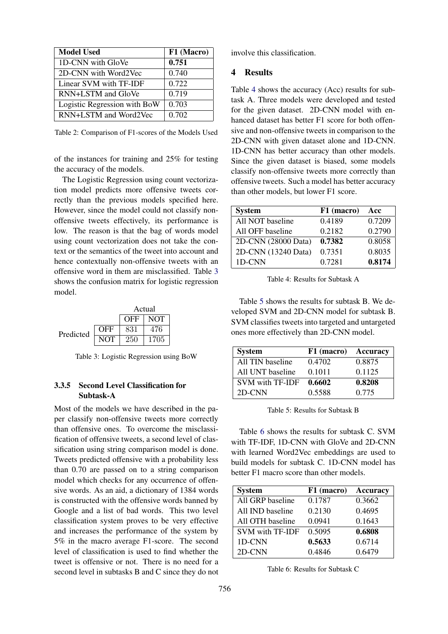<span id="page-3-0"></span>

| <b>Model Used</b>            | F1 (Macro) |
|------------------------------|------------|
| 1D-CNN with GloVe            | 0.751      |
| 2D-CNN with Word2Vec         | 0.740      |
| Linear SVM with TF-IDF       | 0.722      |
| RNN+LSTM and GloVe           | 0.719      |
| Logistic Regression with BoW | 0.703      |
| RNN+LSTM and Word2Vec        | 0.702      |

Table 2: Comparison of F1-scores of the Models Used

of the instances for training and 25% for testing the accuracy of the models.

The Logistic Regression using count vectorization model predicts more offensive tweets correctly than the previous models specified here. However, since the model could not classify nonoffensive tweets effectively, its performance is low. The reason is that the bag of words model using count vectorization does not take the context or the semantics of the tweet into account and hence contextually non-offensive tweets with an offensive word in them are misclassified. Table [3](#page-3-1) shows the confusion matrix for logistic regression model.

<span id="page-3-1"></span>

Table 3: Logistic Regression using BoW

# 3.3.5 Second Level Classification for Subtask-A

Most of the models we have described in the paper classify non-offensive tweets more correctly than offensive ones. To overcome the misclassification of offensive tweets, a second level of classification using string comparison model is done. Tweets predicted offensive with a probability less than 0.70 are passed on to a string comparison model which checks for any occurrence of offensive words. As an aid, a dictionary of 1384 words is constructed with the offensive words banned by Google and a list of bad words. This two level classification system proves to be very effective and increases the performance of the system by 5% in the macro average F1-score. The second level of classification is used to find whether the tweet is offensive or not. There is no need for a second level in subtasks B and C since they do not involve this classification.

### 4 Results

Table [4](#page-3-2) shows the accuracy (Acc) results for subtask A. Three models were developed and tested for the given dataset. 2D-CNN model with enhanced dataset has better F1 score for both offensive and non-offensive tweets in comparison to the 2D-CNN with given dataset alone and 1D-CNN. 1D-CNN has better accuracy than other models. Since the given dataset is biased, some models classify non-offensive tweets more correctly than offensive tweets. Such a model has better accuracy than other models, but lower F1 score.

<span id="page-3-2"></span>

| <b>System</b>       | F1 (macro) | Acc    |
|---------------------|------------|--------|
| All NOT baseline    | 0.4189     | 0.7209 |
| All OFF baseline    | 0.2182     | 0.2790 |
| 2D-CNN (28000 Data) | 0.7382     | 0.8058 |
| 2D-CNN (13240 Data) | 0.7351     | 0.8035 |
| 1D-CNN              | 0.7281     | 0.8174 |

Table 4: Results for Subtask A

Table [5](#page-3-3) shows the results for subtask B. We developed SVM and 2D-CNN model for subtask B. SVM classifies tweets into targeted and untargeted ones more effectively than 2D-CNN model.

<span id="page-3-3"></span>

| <b>System</b>          | F1 (macro) | <b>Accuracy</b> |
|------------------------|------------|-----------------|
| All TIN baseline       | 0.4702     | 0.8875          |
| All UNT baseline       | 0.1011     | 0.1125          |
| <b>SVM with TF-IDF</b> | 0.6602     | 0.8208          |
| 2D-CNN                 | 0.5588     | 0.775           |

Table 5: Results for Subtask B

Table [6](#page-3-4) shows the results for subtask C. SVM with TF-IDF, 1D-CNN with GloVe and 2D-CNN with learned Word2Vec embeddings are used to build models for subtask C. 1D-CNN model has better F1 macro score than other models.

<span id="page-3-4"></span>

| <b>System</b>          | F1 (macro) | <b>Accuracy</b> |
|------------------------|------------|-----------------|
| All GRP baseline       | 0.1787     | 0.3662          |
| All IND baseline       | 0.2130     | 0.4695          |
| All OTH baseline       | 0.0941     | 0.1643          |
| <b>SVM with TF-IDF</b> | 0.5095     | 0.6808          |
| 1D-CNN                 | 0.5633     | 0.6714          |
| 2D-CNN                 | 0.4846     | 0.6479          |

Table 6: Results for Subtask C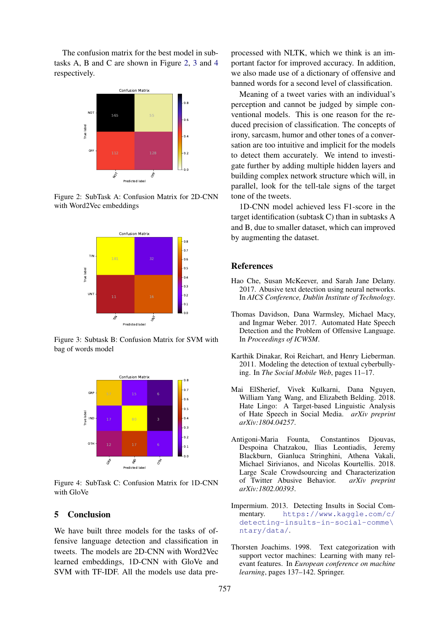The confusion matrix for the best model in subtasks A, B and C are shown in Figure [2,](#page-4-7) [3](#page-4-8) and [4](#page-4-9) respectively.

<span id="page-4-7"></span>

Figure 2: SubTask A: Confusion Matrix for 2D-CNN with Word2Vec embeddings

<span id="page-4-8"></span>

Figure 3: Subtask B: Confusion Matrix for SVM with bag of words model

<span id="page-4-9"></span>

Figure 4: SubTask C: Confusion Matrix for 1D-CNN with GloVe

### 5 Conclusion

We have built three models for the tasks of offensive language detection and classification in tweets. The models are 2D-CNN with Word2Vec learned embeddings, 1D-CNN with GloVe and SVM with TF-IDF. All the models use data pre-

processed with NLTK, which we think is an important factor for improved accuracy. In addition, we also made use of a dictionary of offensive and banned words for a second level of classification.

Meaning of a tweet varies with an individual's perception and cannot be judged by simple conventional models. This is one reason for the reduced precision of classification. The concepts of irony, sarcasm, humor and other tones of a conversation are too intuitive and implicit for the models to detect them accurately. We intend to investigate further by adding multiple hidden layers and building complex network structure which will, in parallel, look for the tell-tale signs of the target tone of the tweets.

1D-CNN model achieved less F1-score in the target identification (subtask C) than in subtasks A and B, due to smaller dataset, which can improved by augmenting the dataset.

#### References

- <span id="page-4-1"></span>Hao Che, Susan McKeever, and Sarah Jane Delany. 2017. Abusive text detection using neural networks. In *AICS Conference, Dublin Institute of Technology*.
- <span id="page-4-6"></span>Thomas Davidson, Dana Warmsley, Michael Macy, and Ingmar Weber. 2017. Automated Hate Speech Detection and the Problem of Offensive Language. In *Proceedings of ICWSM*.
- <span id="page-4-2"></span>Karthik Dinakar, Roi Reichart, and Henry Lieberman. 2011. Modeling the detection of textual cyberbullying. In *The Social Mobile Web*, pages 11–17.
- <span id="page-4-3"></span>Mai ElSherief, Vivek Kulkarni, Dana Nguyen, William Yang Wang, and Elizabeth Belding. 2018. Hate Lingo: A Target-based Linguistic Analysis of Hate Speech in Social Media. *arXiv preprint arXiv:1804.04257*.
- <span id="page-4-0"></span>Antigoni-Maria Founta, Constantinos Djouvas, Despoina Chatzakou, Ilias Leontiadis, Jeremy Blackburn, Gianluca Stringhini, Athena Vakali, Michael Sirivianos, and Nicolas Kourtellis. 2018. Large Scale Crowdsourcing and Characterization of Twitter Abusive Behavior. *arXiv preprint arXiv:1802.00393*.
- <span id="page-4-4"></span>Impermium. 2013. Detecting Insults in Social Commentary. [https://www.kaggle.com/c/](https://www.kaggle.com/c/detecting-insults-in-social-comme\ntary/data/) [detecting-insults-in-social-comme\](https://www.kaggle.com/c/detecting-insults-in-social-comme\ntary/data/) [ntary/data/](https://www.kaggle.com/c/detecting-insults-in-social-comme\ntary/data/).
- <span id="page-4-5"></span>Thorsten Joachims. 1998. Text categorization with support vector machines: Learning with many relevant features. In *European conference on machine learning*, pages 137–142. Springer.